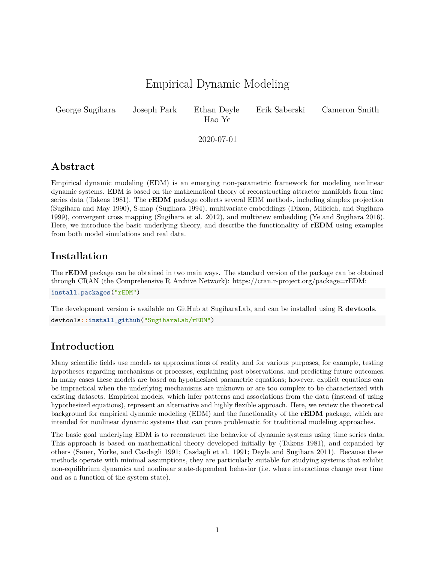# Empirical Dynamic Modeling

<span id="page-0-0"></span>

Hao Ye

ameron Smith

2020-07-01

## **Abstract**

Empirical dynamic modeling (EDM) is an emerging non-parametric framework for modeling nonlinear dynamic systems. EDM is based on the mathematical theory of reconstructing attractor manifolds from time series data (Takens 1981). The **rEDM** package collects several EDM methods, including simplex projection (Sugihara and May 1990), S-map (Sugihara 1994), multivariate embeddings (Dixon, Milicich, and Sugihara 1999), convergent cross mapping (Sugihara et al. 2012), and multiview embedding (Ye and Sugihara 2016). Here, we introduce the basic underlying theory, and describe the functionality of **rEDM** using examples from both model simulations and real data.

# **Installation**

The **rEDM** package can be obtained in two main ways. The standard version of the package can be obtained through CRAN (the Comprehensive R Archive Network): [https://cran.r-project.org/package=rEDM:](https://cran.r-project.org/package=rEDM)

**install.packages**("rEDM")

The development version is available on GitHub at SugiharaLab, and can be installed using R **devtools**. devtools**::install\_github**("SugiharaLab/rEDM")

# **Introduction**

Many scientific fields use models as approximations of reality and for various purposes, for example, testing hypotheses regarding mechanisms or processes, explaining past observations, and predicting future outcomes. In many cases these models are based on hypothesized parametric equations; however, explicit equations can be impractical when the underlying mechanisms are unknown or are too complex to be characterized with existing datasets. Empirical models, which infer patterns and associations from the data (instead of using hypothesized equations), represent an alternative and highly flexible approach. Here, we review the theoretical background for empirical dynamic modeling (EDM) and the functionality of the **rEDM** package, which are intended for nonlinear dynamic systems that can prove problematic for traditional modeling approaches.

The basic goal underlying EDM is to reconstruct the behavior of dynamic systems using time series data. This approach is based on mathematical theory developed initially by (Takens 1981), and expanded by others (Sauer, Yorke, and Casdagli 1991; Casdagli et al. 1991; Deyle and Sugihara 2011). Because these methods operate with minimal assumptions, they are particularly suitable for studying systems that exhibit non-equilibrium dynamics and nonlinear state-dependent behavior (i.e. where interactions change over time and as a function of the system state).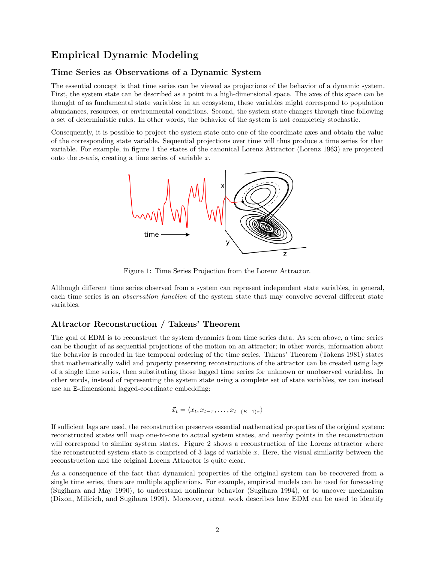## **Empirical Dynamic Modeling**

## **Time Series as Observations of a Dynamic System**

The essential concept is that time series can be viewed as projections of the behavior of a dynamic system. First, the system state can be described as a point in a high-dimensional space. The axes of this space can be thought of as fundamental state variables; in an ecosystem, these variables might correspond to population abundances, resources, or environmental conditions. Second, the system state changes through time following a set of deterministic rules. In other words, the behavior of the system is not completely stochastic.

Consequently, it is possible to project the system state onto one of the coordinate axes and obtain the value of the corresponding state variable. Sequential projections over time will thus produce a time series for that variable. For example, in figure 1 the states of the canonical Lorenz Attractor (Lorenz 1963) are projected onto the *x*-axis, creating a time series of variable *x*.



Figure 1: Time Series Projection from the Lorenz Attractor.

Although different time series observed from a system can represent independent state variables, in general, each time series is an *observation function* of the system state that may convolve several different state variables.

### **Attractor Reconstruction / Takens' Theorem**

The goal of EDM is to reconstruct the system dynamics from time series data. As seen above, a time series can be thought of as sequential projections of the motion on an attractor; in other words, information about the behavior is encoded in the temporal ordering of the time series. Takens' Theorem (Takens 1981) states that mathematically valid and property preserving reconstructions of the attractor can be created using lags of a single time series, then substituting those lagged time series for unknown or unobserved variables. In other words, instead of representing the system state using a complete set of state variables, we can instead use an E-dimensional lagged-coordinate embedding:

$$
\vec{x}_t = \langle x_t, x_{t-\tau}, \dots, x_{t-(E-1)\tau} \rangle
$$

If sufficient lags are used, the reconstruction preserves essential mathematical properties of the original system: reconstructed states will map one-to-one to actual system states, and nearby points in the reconstruction will correspond to similar system states. Figure 2 shows a reconstruction of the Lorenz attractor where the reconstructed system state is comprised of 3 lags of variable *x*. Here, the visual similarity between the reconstruction and the original Lorenz Attractor is quite clear.

As a consequence of the fact that dynamical properties of the original system can be recovered from a single time series, there are multiple applications. For example, empirical models can be used for forecasting (Sugihara and May 1990), to understand nonlinear behavior (Sugihara 1994), or to uncover mechanism (Dixon, Milicich, and Sugihara 1999). Moreover, recent work describes how EDM can be used to identify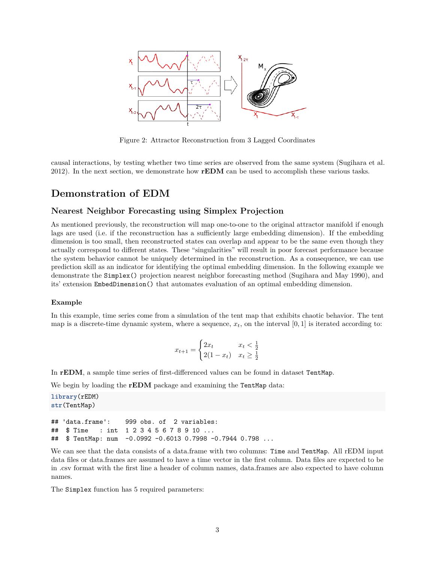

Figure 2: Attractor Reconstruction from 3 Lagged Coordinates

causal interactions, by testing whether two time series are observed from the same system (Sugihara et al. 2012). In the next section, we demonstrate how **rEDM** can be used to accomplish these various tasks.

## **Demonstration of EDM**

### **Nearest Neighbor Forecasting using Simplex Projection**

As mentioned previously, the reconstruction will map one-to-one to the original attractor manifold if enough lags are used (i.e. if the reconstruction has a sufficiently large embedding dimension). If the embedding dimension is too small, then reconstructed states can overlap and appear to be the same even though they actually correspond to different states. These "singularities" will result in poor forecast performance because the system behavior cannot be uniquely determined in the reconstruction. As a consequence, we can use prediction skill as an indicator for identifying the optimal embedding dimension. In the following example we demonstrate the Simplex() projection nearest neighbor forecasting method (Sugihara and May 1990), and its' extension EmbedDimension() that automates evaluation of an optimal embedding dimension.

#### **Example**

In this example, time series come from a simulation of the tent map that exhibits chaotic behavior. The tent map is a discrete-time dynamic system, where a sequence,  $x_t$ , on the interval  $[0, 1]$  is iterated according to:

$$
x_{t+1} = \begin{cases} 2x_t & x_t < \frac{1}{2} \\ 2(1 - x_t) & x_t \ge \frac{1}{2} \end{cases}
$$

In **rEDM**, a sample time series of first-differenced values can be found in dataset TentMap.

We begin by loading the **rEDM** package and examining the TentMap data:

**library**(rEDM) **str**(TentMap)

## 'data.frame': 999 obs. of 2 variables: ## \$ Time : int 1 2 3 4 5 6 7 8 9 10 ... ## \$ TentMap: num -0.0992 -0.6013 0.7998 -0.7944 0.798 ...

We can see that the data consists of a data.frame with two columns: Time and TentMap. All rEDM input data files or data.frames are assumed to have a time vector in the first column. Data files are expected to be in .csv format with the first line a header of column names, data.frames are also expected to have column names.

The Simplex function has 5 required parameters: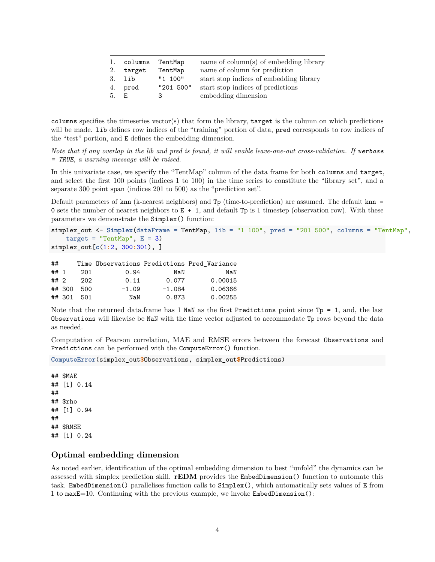| 1.  | columns | TentMap   | name of $\text{column}(s)$ of embedding library |
|-----|---------|-----------|-------------------------------------------------|
| 2.  | target  | TentMap   | name of column for prediction                   |
| 3.  | lib     | "1 100"   | start stop indices of embedding library         |
| 4.  | pred    | "201 500" | start stop indices of predictions               |
| .5. | E.      | З         | embedding dimension                             |

columns specifies the timeseries vector(s) that form the library, target is the column on which predictions will be made. Lib defines row indices of the "training" portion of data, pred corresponds to row indices of the "test" portion, and E defines the embedding dimension.

*Note that if any overlap in the lib and pred is found, it will enable leave-one-out cross-validation. If verbose = TRUE, a warning message will be raised.*

In this univariate case, we specify the "TentMap" column of the data frame for both columns and target, and select the first 100 points (indices 1 to 100) in the time series to constitute the "library set", and a separate 300 point span (indices 201 to 500) as the "prediction set".

Default parameters of knn (k-nearest neighbors) and Tp (time-to-prediction) are assumed. The default knn = 0 sets the number of nearest neighbors to  $E + 1$ , and default Tp is 1 timestep (observation row). With these parameters we demonstrate the Simplex() function:

```
simplex_out <- Simplex(dataFrame = TentMap, lib = "1 100", pred = "201 500", columns = "TentMap",
    target = "TentMap", E = 3)simplex_out[c(1:2, 300:301), ]
```

| ##   |            |         |          | Time Observations Predictions Pred Variance |
|------|------------|---------|----------|---------------------------------------------|
| ## 1 | 201        | 0.94    | NaN      | NaN                                         |
| ## 2 | 202        | 0.11    | 0.077    | 0.00015                                     |
|      | ## 300 500 | $-1.09$ | $-1.084$ | 0.06366                                     |
|      | ## 301 501 | NaN     | 0.873    | 0.00255                                     |

Note that the returned data.frame has 1 NaN as the first Predictions point since  $Tp = 1$ , and, the last Observations will likewise be NaN with the time vector adjusted to accommodate Tp rows beyond the data as needed.

Computation of Pearson correlation, MAE and RMSE errors between the forecast Observations and Predictions can be performed with the ComputeError() function.

```
ComputeError(simplex_out$Observations, simplex_out$Predictions)
```
## \$MAE ## [1] 0.14 ## ## \$rho ## [1] 0.94 ## ## \$RMSE ## [1] 0.24

### **Optimal embedding dimension**

As noted earlier, identification of the optimal embedding dimension to best "unfold" the dynamics can be assessed with simplex prediction skill. **rEDM** provides the EmbedDimension() function to automate this task. EmbedDimension() parallelises function calls to Simplex(), which automatically sets values of E from 1 to maxE=10. Continuing with the previous example, we invoke EmbedDimension():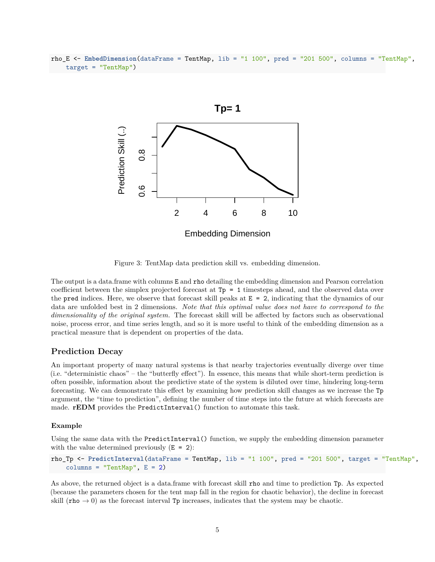rho\_E <- **EmbedDimension**(dataFrame = TentMap, lib = "1 100", pred = "201 500", columns = "TentMap", target = "TentMap")



Figure 3: TentMap data prediction skill vs. embedding dimension.

The output is a data.frame with columns E and rho detailing the embedding dimension and Pearson correlation coefficient between the simplex projected forecast at Tp = 1 timesteps ahead, and the observed data over the pred indices. Here, we observe that forecast skill peaks at  $E = 2$ , indicating that the dynamics of our data are unfolded best in 2 dimensions. *Note that this optimal value does not have to correspond to the dimensionality of the original system.* The forecast skill will be affected by factors such as observational noise, process error, and time series length, and so it is more useful to think of the embedding dimension as a practical measure that is dependent on properties of the data.

### **Prediction Decay**

An important property of many natural systems is that nearby trajectories eventually diverge over time (i.e. "deterministic chaos" – the "butterfly effect"). In essence, this means that while short-term prediction is often possible, information about the predictive state of the system is diluted over time, hindering long-term forecasting. We can demonstrate this effect by examining how prediction skill changes as we increase the Tp argument, the "time to prediction", defining the number of time steps into the future at which forecasts are made. **rEDM** provides the PredictInterval() function to automate this task.

#### **Example**

Using the same data with the PredictInterval() function, we supply the embedding dimension parameter with the value determined previously  $(E = 2)$ :

rho\_Tp <- **PredictInterval**(dataFrame = TentMap, lib = "1 100", pred = "201 500", target = "TentMap", columns = "TentMap",  $E = 2$ )

As above, the returned object is a data.frame with forecast skill rho and time to prediction Tp. As expected (because the parameters chosen for the tent map fall in the region for chaotic behavior), the decline in forecast skill (rho  $\rightarrow$  0) as the forecast interval Tp increases, indicates that the system may be chaotic.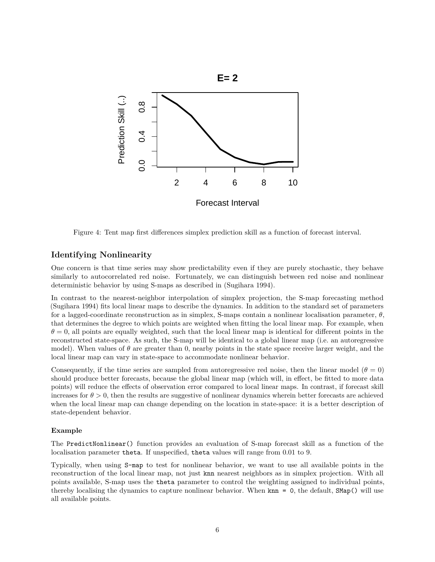

Figure 4: Tent map first differences simplex prediction skill as a function of forecast interval.

### **Identifying Nonlinearity**

One concern is that time series may show predictability even if they are purely stochastic, they behave similarly to autocorrelated red noise. Fortunately, we can distinguish between red noise and nonlinear deterministic behavior by using S-maps as described in (Sugihara 1994).

In contrast to the nearest-neighbor interpolation of simplex projection, the S-map forecasting method (Sugihara 1994) fits local linear maps to describe the dynamics. In addition to the standard set of parameters for a lagged-coordinate reconstruction as in simplex, S-maps contain a nonlinear localisation parameter, *θ*, that determines the degree to which points are weighted when fitting the local linear map. For example, when  $\theta = 0$ , all points are equally weighted, such that the local linear map is identical for different points in the reconstructed state-space. As such, the S-map will be identical to a global linear map (i.e. an autoregressive model). When values of  $\theta$  are greater than 0, nearby points in the state space receive larger weight, and the local linear map can vary in state-space to accommodate nonlinear behavior.

Consequently, if the time series are sampled from autoregressive red noise, then the linear model ( $\theta = 0$ ) should produce better forecasts, because the global linear map (which will, in effect, be fitted to more data points) will reduce the effects of observation error compared to local linear maps. In contrast, if forecast skill increases for  $\theta > 0$ , then the results are suggestive of nonlinear dynamics wherein better forecasts are achieved when the local linear map can change depending on the location in state-space: it is a better description of state-dependent behavior.

#### **Example**

The PredictNonlinear() function provides an evaluation of S-map forecast skill as a function of the localisation parameter theta. If unspecified, theta values will range from 0.01 to 9.

Typically, when using S-map to test for nonlinear behavior, we want to use all available points in the reconstruction of the local linear map, not just knn nearest neighbors as in simplex projection. With all points available, S-map uses the theta parameter to control the weighting assigned to individual points, thereby localising the dynamics to capture nonlinear behavior. When  $kmn = 0$ , the default,  $\text{SMap}()$  will use all available points.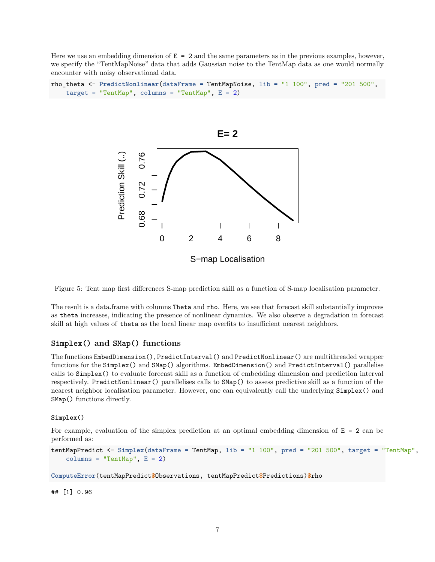Here we use an embedding dimension of  $E = 2$  and the same parameters as in the previous examples, however, we specify the "TentMapNoise" data that adds Gaussian noise to the TentMap data as one would normally encounter with noisy observational data.

```
rho_theta <- PredictNonlinear(dataFrame = TentMapNoise, lib = "1 100", pred = "201 500",
    target = "TentMap", columns = "TentMap", E = 2)
```


Figure 5: Tent map first differences S-map prediction skill as a function of S-map localisation parameter.

The result is a data.frame with columns Theta and rho. Here, we see that forecast skill substantially improves as theta increases, indicating the presence of nonlinear dynamics. We also observe a degradation in forecast skill at high values of theta as the local linear map overfits to insufficient nearest neighbors.

### **Simplex() and SMap() functions**

The functions EmbedDimension(), PredictInterval() and PredictNonlinear() are multithreaded wrapper functions for the Simplex() and SMap() algorithms. EmbedDimension() and PredictInterval() parallelise calls to Simplex() to evaluate forecast skill as a function of embedding dimension and prediction interval respectively. PredictNonlinear() parallelises calls to SMap() to assess predictive skill as a function of the nearest neighbor localisation parameter. However, one can equivalently call the underlying Simplex() and SMap() functions directly.

#### **Simplex()**

For example, evaluation of the simplex prediction at an optimal embedding dimension of  $E = 2$  can be performed as:

```
tentMapPredict <- Simplex(dataFrame = TentMap, lib = "1 100", pred = "201 500", target = "TentMap",
    columns = "TentMap", E = 2)
```
**ComputeError**(tentMapPredict**\$**Observations, tentMapPredict**\$**Predictions)**\$**rho

## [1] 0.96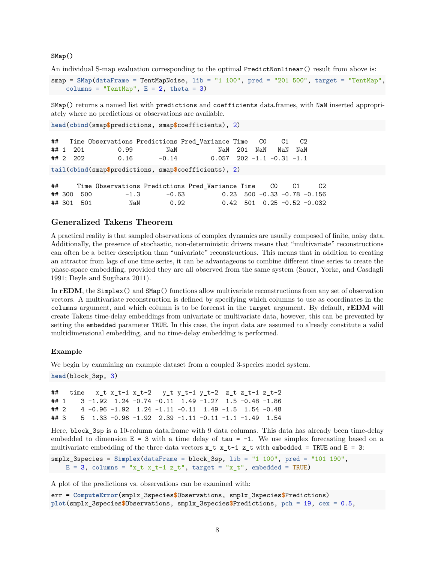**SMap()**

An individual S-map evaluation corresponding to the optimal PredictNonlinear() result from above is:

smap = **SMap**(dataFrame = TentMapNoise, lib = "1 100", pred = "201 500", target = "TentMap", columns = "TentMap",  $E = 2$ , theta = 3)

SMap() returns a named list with predictions and coefficients data.frames, with NaN inserted appropriately where no predictions or observations are available.

```
head(cbind(smap$predictions, smap$coefficients), 2)
```

```
## Time Observations Predictions Pred_Variance Time C0 C1 C2
## 1 201 0.99 NaN NaN 201 NaN NaN NaN
## 2 202 0.16 -0.14 0.057 202 -1.1 -0.31 -1.1
tail(cbind(smap$predictions, smap$coefficients), 2)
```

| ## |            |        |       | Time Observations Predictions Pred Variance Time CO C1 |  | C <sub>2</sub>                |
|----|------------|--------|-------|--------------------------------------------------------|--|-------------------------------|
|    | ## 300 500 | $-1.3$ | -0.63 |                                                        |  | $0.23$ 500 -0.33 -0.78 -0.156 |
|    | ## 301 501 | NaN    | 0.92  |                                                        |  | $0.42$ 501 0.25 -0.52 -0.032  |

## **Generalized Takens Theorem**

A practical reality is that sampled observations of complex dynamics are usually composed of finite, noisy data. Additionally, the presence of stochastic, non-deterministic drivers means that "multivariate" reconstructions can often be a better description than "univariate" reconstructions. This means that in addition to creating an attractor from lags of one time series, it can be advantageous to combine different time series to create the phase-space embedding, provided they are all observed from the same system (Sauer, Yorke, and Casdagli 1991; Deyle and Sugihara 2011).

In **rEDM**, the Simplex() and SMap() functions allow multivariate reconstructions from any set of observation vectors. A multivariate reconstruction is defined by specifying which columns to use as coordinates in the columns argument, and which column is to be forecast in the target argument. By default, **rEDM** will create Takens time-delay embeddings from univariate or multivariate data, however, this can be prevented by setting the embedded parameter TRUE. In this case, the input data are assumed to already constitute a valid multidimensional embedding, and no time-delay embedding is performed.

#### **Example**

We begin by examining an example dataset from a coupled 3-species model system.

```
head(block_3sp, 3)
```

```
## time x_t x_t-1 x_t-2 y_t y_t-1 y_t-2 z_t z_t-1 z_t-2
## 1 3 -1.92 1.24 -0.74 -0.11 1.49 -1.27 1.5 -0.48 -1.86
## 2 4 -0.96 -1.92 1.24 -1.11 -0.11 1.49 -1.5 1.54 -0.48
## 3 5 1.33 -0.96 -1.92 2.39 -1.11 -0.11 -1.1 -1.49 1.54
```
Here, block 3sp is a 10-column data.frame with 9 data columns. This data has already been time-delay embedded to dimension  $E = 3$  with a time delay of  $tau = -1$ . We use simplex forecasting based on a multivariate embedding of the three data vectors  $x_t x_t - 1$  z<sub>t</sub> with embedded = TRUE and E = 3:

```
smplx 3species = Simplex(dataFrame = block 3sp, lib = "1 100", pred = "101 190",
   E = 3, columns = "x_t x_t-1 z_t", target = "x_t", embedded = TRUE)
```
A plot of the predictions vs. observations can be examined with:

```
err = ComputeError(smplx_3species$Observations, smplx_3species$Predictions)
plot(smplx_3species$Observations, smplx_3species$Predictions, pch = 19, cex = 0.5,
```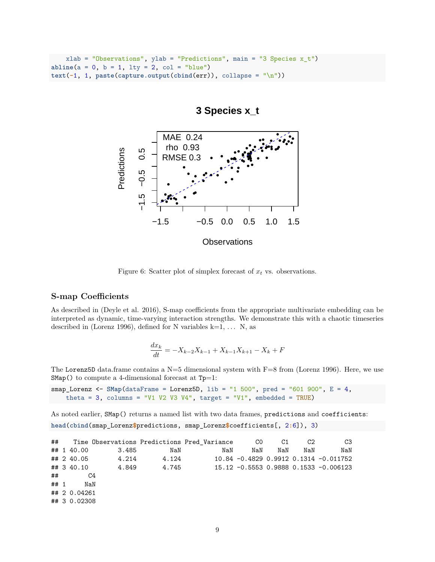```
xlab = "Observations", ylab = "Predictions", main = "3 Species x_t")
abline(a = 0, b = 1, lty = 2, col = "blue")text(-1, 1, paste(capture.output(cbind(err)), collapse = "\n"))
```


## **3 Species x\_t**

Figure 6: Scatter plot of simplex forecast of  $x_t$  vs. observations.

### **S-map Coefficients**

As described in (Deyle et al. 2016), S-map coefficients from the appropriate multivariate embedding can be interpreted as dynamic, time-varying interaction strengths. We demonstrate this with a chaotic timeseries described in (Lorenz 1996), defined for N variables  $k=1, \ldots N$ , as

$$
\frac{dx_k}{dt} = -X_{k-2}X_{k-1} + X_{k-1}X_{k+1} - X_k + F
$$

The Lorenz5D data.frame contains a  $N=5$  dimensional system with  $F=8$  from (Lorenz 1996). Here, we use  $SMap()$  to compute a 4-dimensional forecast at  $Tp=1$ :

```
smap_Lorenz <- SMap(dataFrame = Lorenz5D, lib = "1 500", pred = "601 900", E = 4,
    theta = 3, columns = "V1 V2 V3 V4", target = "V1", embedded = TRUE)
```
As noted earlier, SMap() returns a named list with two data frames, predictions and coefficients: **head**(**cbind**(smap\_Lorenz**\$**predictions, smap\_Lorenz**\$**coefficients[, 2**:**6]), 3)

|        |              |                      |       | ## Time Observations Predictions Pred Variance       CO       C1 |     |     | C2  | C3                                        |
|--------|--------------|----------------------|-------|------------------------------------------------------------------|-----|-----|-----|-------------------------------------------|
|        | ## 1 40.00   | 3.485                | NaN   | NaN                                                              | NaN | NaN | NaN | NaN                                       |
|        |              | $\#$ # 2 40.05 4.214 | 4.124 |                                                                  |     |     |     | $10.84 - 0.4829 0.9912 0.1314 - 0.011752$ |
|        | ## 3 40.10   | 4.849                | 4.745 |                                                                  |     |     |     | 15.12 -0.5553 0.9888 0.1533 -0.006123     |
| ##     |              | C4                   |       |                                                                  |     |     |     |                                           |
| ## $1$ | NaN          |                      |       |                                                                  |     |     |     |                                           |
|        | ## 2 0.04261 |                      |       |                                                                  |     |     |     |                                           |
|        | ## 3 0.02308 |                      |       |                                                                  |     |     |     |                                           |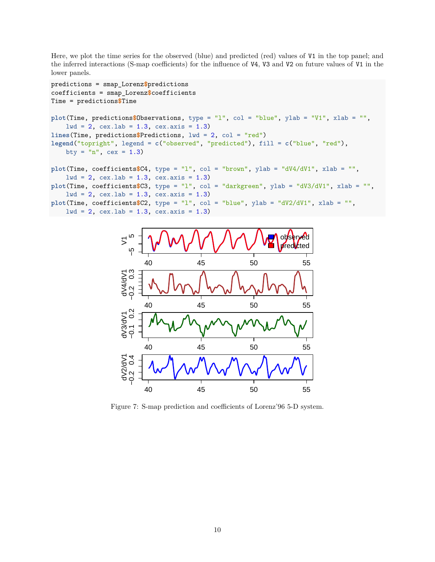Here, we plot the time series for the observed (blue) and predicted (red) values of V1 in the top panel; and the inferred interactions (S-map coefficients) for the influence of V4, V3 and V2 on future values of V1 in the lower panels.

```
predictions = smap_Lorenz$predictions
coefficients = smap_Lorenz$coefficients
Time = predictions$Time
plot(Time, predictions$Observations, type = "l", col = "blue", ylab = "V1", xlab = "",
    1wd = 2, cex.1ab = 1.3, cex.axis = 1.3)
lines(Time, predictions$Predictions, lwd = 2, col = "red")
legend("topright", legend = c("observed", "predicted"), fill = c("blue", "red"),
    bty = "n", cex = 1.3)
plot(Time, coefficients$C4, type = "l", col = "brown", ylab = "dV4/dV1", xlab = "",
    1wd = 2, cex.1ab = 1.3, cex.axis = 1.3plot(Time, coefficients$C3, type = "l", col = "darkgreen", ylab = "dV3/dV1", xlab = "",
    1wd = 2, cex.1ab = 1.3, cex.axis = 1.3)
plot(Time, coefficients$C2, type = "l", col = "blue", ylab = "dV2/dV1", xlab = "",
    1wd = 2, cex.1ab = 1.3, cex.axis = 1.3)
```


Figure 7: S-map prediction and coefficients of Lorenz'96 5-D system.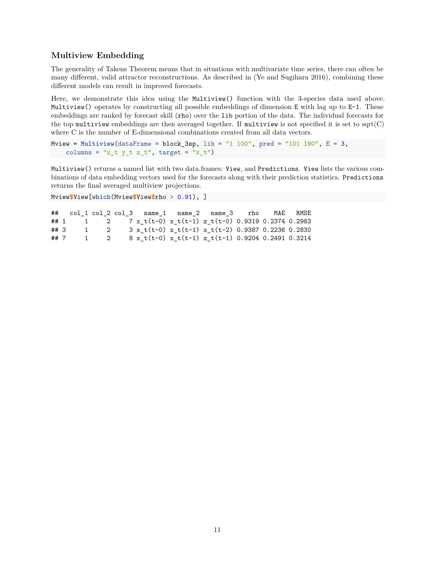## **Multiview Embedding**

The generality of Takens Theorem means that in situations with multivariate time series, there can often be many different, valid attractor reconstructions. As described in (Ye and Sugihara 2016), combining these different models can result in improved forecasts.

Here, we demonstrate this idea using the Multiview() function with the 3-species data used above. Multiview() operates by constructing all possible embeddings of dimension E with lag up to E-1. These embeddings are ranked by forecast skill (rho) over the lib portion of the data. The individual forecasts for the top multiview embeddings are then averaged together. If multiview is not specified it is set to sqrt $(C)$ where C is the number of E-dimensional combinations created from all data vectors.

```
Mview = Multiview(dataFrame = block_3sp, lib = "1 100", pred = "101 190", E = 3,
    columns = "x_t y_t z_t", target = "x_t")
```
Multiview() returns a named list with two data.frames: View, and Predictions. View lists the various combinations of data embedding vectors used for the forecasts along with their prediction statistics. Predictions returns the final averaged multiview projections.

Mview**\$**View[**which**(Mview**\$**View**\$**rho **>** 0.91), ]

## col\_1 col\_2 col\_3 name\_1 name\_2 name\_3 rho MAE RMSE ## 1 1 2 7 x\_t(t-0) x\_t(t-1) z\_t(t-0) 0.9319 0.2374 0.2983 ## 3 1 2 3 x\_t(t-0) x\_t(t-1) x\_t(t-2) 0.9387 0.2236 0.2830 ## 7 1 2 8 x\_t(t-0) x\_t(t-1) z\_t(t-1) 0.9204 0.2491 0.3214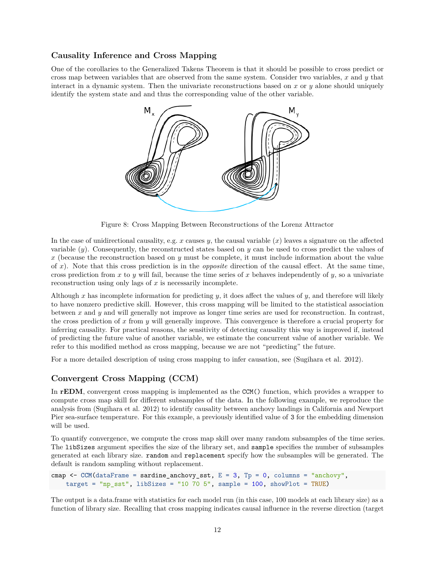## **Causality Inference and Cross Mapping**

One of the corollaries to the Generalized Takens Theorem is that it should be possible to cross predict or cross map between variables that are observed from the same system. Consider two variables, *x* and *y* that interact in a dynamic system. Then the univariate reconstructions based on *x* or *y* alone should uniquely identify the system state and and thus the corresponding value of the other variable.



Figure 8: Cross Mapping Between Reconstructions of the Lorenz Attractor

In the case of unidirectional causality, e.g. *x* causes *y*, the causal variable (*x*) leaves a signature on the affected variable (*y*). Consequently, the reconstructed states based on *y* can be used to cross predict the values of *x* (because the reconstruction based on *y* must be complete, it must include information about the value of *x*). Note that this cross prediction is in the *opposite* direction of the causal effect. At the same time, cross prediction from  $x$  to  $y$  will fail, because the time series of  $x$  behaves independently of  $y$ , so a univariate reconstruction using only lags of *x* is necessarily incomplete.

Although *x* has incomplete information for predicting *y*, it does affect the values of *y*, and therefore will likely to have nonzero predictive skill. However, this cross mapping will be limited to the statistical association between *x* and *y* and will generally not improve as longer time series are used for reconstruction. In contrast, the cross prediction of *x* from *y* will generally improve. This convergence is therefore a crucial property for inferring causality. For practical reasons, the sensitivity of detecting causality this way is improved if, instead of predicting the future value of another variable, we estimate the concurrent value of another variable. We refer to this modified method as cross mapping, because we are not "predicting" the future.

For a more detailed description of using cross mapping to infer causation, see (Sugihara et al. 2012).

## **Convergent Cross Mapping (CCM)**

In **rEDM**, convergent cross mapping is implemented as the CCM() function, which provides a wrapper to compute cross map skill for different subsamples of the data. In the following example, we reproduce the analysis from (Sugihara et al. 2012) to identify causality between anchovy landings in California and Newport Pier sea-surface temperature. For this example, a previously identified value of 3 for the embedding dimension will be used.

To quantify convergence, we compute the cross map skill over many random subsamples of the time series. The libSizes argument specifies the size of the library set, and sample specifies the number of subsamples generated at each library size. random and replacement specify how the subsamples will be generated. The default is random sampling without replacement.

```
cmap \leq CCM(dataFrame = sardine_anchovy_sst, E = 3, Tp = 0, columns = "anchovy",
    target = "np\_sst", libSizes = "10 70 5", sample = 100, showPlot = TRUE)
```
The output is a data.frame with statistics for each model run (in this case, 100 models at each library size) as a function of library size. Recalling that cross mapping indicates causal influence in the reverse direction (target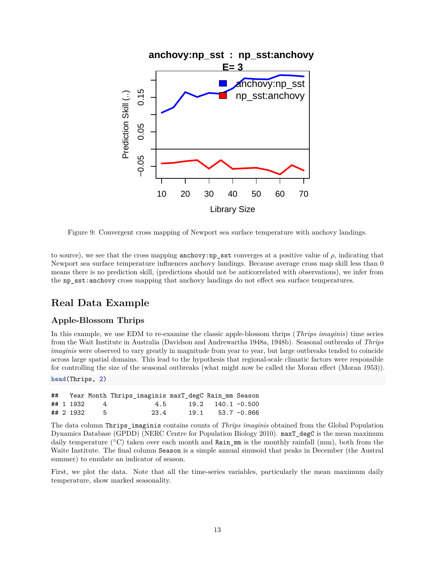

Figure 9: Convergent cross mapping of Newport sea surface temperature with anchovy landings.

to source), we see that the cross mapping anchovy:np\_sst converges at a positive value of  $\rho$ , indicating that Newport sea surface temperature influences anchovy landings. Because average cross map skill less than 0 means there is no prediction skill, (predictions should not be anticorrelated with observations), we infer from the np\_sst:anchovy cross mapping that anchovy landings do not effect sea surface temperatures.

## **Real Data Example**

## **Apple-Blossom Thrips**

In this example, we use EDM to re-examine the classic apple-blossom thrips (*Thrips imaginis*) time series from the Wait Institute in Australia (Davidson and Andrewartha 1948a, 1948b). Seasonal outbreaks of *Thrips imaginis* were observed to vary greatly in magnitude from year to year, but large outbreaks tended to coincide across large spatial domains. This lead to the hypothesis that regional-scale climatic factors were responsible for controlling the size of the seasonal outbreaks (what might now be called the Moran effect (Moran 1953)).

**head**(Thrips, 2)

|  |           |                | ## Year Month Thrips_imaginis maxT_degC Rain_mm Season |                      |  |
|--|-----------|----------------|--------------------------------------------------------|----------------------|--|
|  | ## 1 1932 | $\overline{4}$ | $4.5$ $19.2$ $140.1$ $-0.500$                          |                      |  |
|  |           | ## 2 1932 5    | 23.4                                                   | $19.1$ $53.7 -0.866$ |  |

The data column Thrips\_imaginis contains counts of *Thrips imaginis* obtained from the Global Population Dynamics Database (GPDD) (NERC Centre for Population Biology 2010). maxT\_degC is the mean maximum daily temperature ( $\degree$ C) taken over each month and Rain mm is the monthly rainfall (mm), both from the Waite Institute. The final column Season is a simple annual sinusoid that peaks in December (the Austral summer) to emulate an indicator of season.

First, we plot the data. Note that all the time-series variables, particularly the mean maximum daily temperature, show marked seasonality.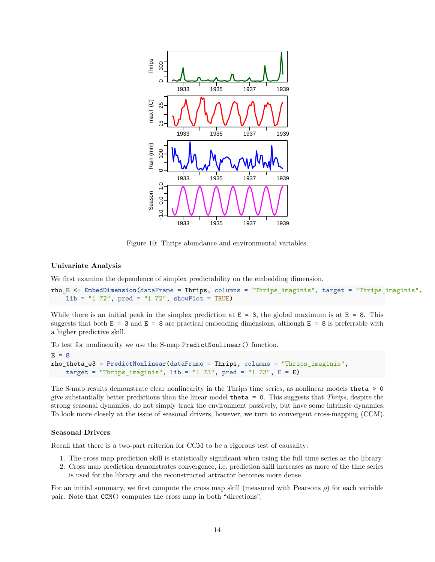

Figure 10: Thrips abundance and environmental variables.

#### **Univariate Analysis**

We first examine the dependence of simplex predictability on the embedding dimension.

```
rho_E <- EmbedDimension(dataFrame = Thrips, columns = "Thrips_imaginis", target = "Thrips_imaginis",
   lib = "1 72", pred = "1 72", showPlot = TRUE)
```
While there is an initial peak in the simplex prediction at  $E = 3$ , the global maximum is at  $E = 8$ . This suggests that both  $E = 3$  and  $E = 8$  are practical embedding dimensions, although  $E = 8$  is preferrable with a higher predictive skill.

To test for nonlinearity we use the S-map PredictNonlinear() function.

```
E = 8rho_theta_e3 = PredictNonlinear(dataFrame = Thrips, columns = "Thrips_imaginis",
    target = "Thrips_imaginis", lib = "1 73", pred = "1 73", E = E)
```
The S-map results demonstrate clear nonlinearity in the Thrips time series, as nonlinear models theta > 0 give substantially better predictions than the linear model theta = 0. This suggests that *Thrips*, despite the strong seasonal dynamics, do not simply track the environment passively, but have some intrinsic dynamics. To look more closely at the issue of seasonal drivers, however, we turn to convergent cross-mapping (CCM).

#### **Seasonal Drivers**

Recall that there is a two-part criterion for CCM to be a rigorous test of causality:

- 1. The cross map prediction skill is statistically significant when using the full time series as the library.
- 2. Cross map prediction demonstrates convergence, i.e. prediction skill increases as more of the time series is used for the library and the reconstructed attractor becomes more dense.

For an initial summary, we first compute the cross map skill (measured with Pearsons *ρ*) for each variable pair. Note that CCM() computes the cross map in both "directions".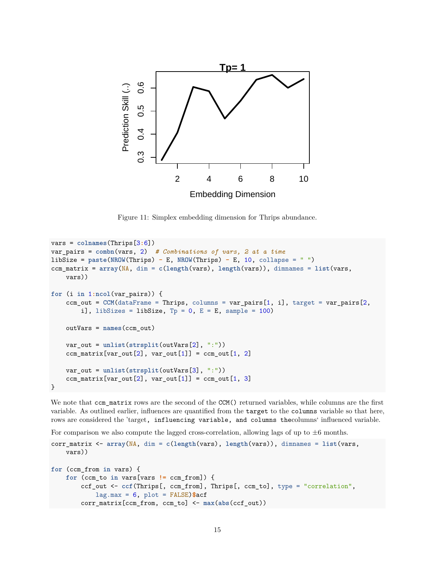

Figure 11: Simplex embedding dimension for Thrips abundance.

```
vars = colnames(Thrips[3:6])
var_pairs = combn(vars, 2) # Combinations of vars, 2 at a time
libSize = paste(NROW(Thrips) - E, NROW(Thrips) - E, 10, collapse = " ")
ccm_matrix = array(NA, dim = c(length(vars), length(vars)), dimnames = list(vars,
    vars))
for (i in 1:ncol(var_pairs)) {
    ccm_out = CCM(dataFrame = Thrips, columns = var_pairs[1, i], target = var_pairs[2,i], libSizes = libSize, Tp = 0, E = E, sample = 100)
    outVars = names(ccm_out)
    var_out = unlist(strsplit(outVars[2], ":"))
    ccm_matrix[var_out[2], var_out[1]] = ccm.out[1, 2]var_out = unlist(strsplit(outVars[3], ":"))
    ccm_matrix[var.out[2], var.out[1]] = ccm.out[1, 3]}
```
We note that commatrix rows are the second of the CCM() returned variables, while columns are the first variable. As outlined earlier, influences are quantified from the target to the columns variable so that here, rows are considered the 'target, influencing variable, and columns thecolumns' influenced variable.

For comparison we also compute the lagged cross-correlation, allowing lags of up to  $\pm 6$  months.

```
corr_matrix <- array(NA, dim = c(length(vars), length(vars)), dimnames = list(vars,
   vars))
for (ccm_from in vars) {
   for (ccm_to in vars[vars != ccm_from]) {
        ccf_out <- ccf(Thrips[, ccm_from], Thrips[, ccm_to], type = "correlation",
            lag.max = 6, plot = FALSE)$acf
        corr_matrix[ccm_from, ccm_to] <- max(abs(ccf_out))
```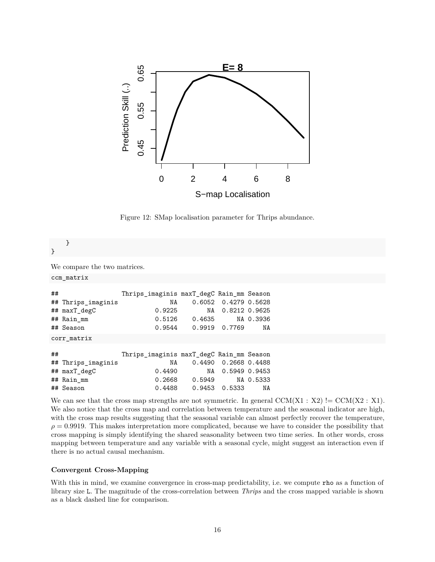

Figure 12: SMap localisation parameter for Thrips abundance.

}

We compare the two matrices.

ccm\_matrix

}

| ## |                    | Thrips_imaginis maxT_degC Rain_mm Season |                 |                      |           |
|----|--------------------|------------------------------------------|-----------------|----------------------|-----------|
|    | ## Thrips imaginis | NA                                       |                 | 0.6052 0.4279 0.5628 |           |
|    | ## maxT degC       | 0.9225                                   | NA              | 0.8212 0.9625        |           |
|    | ## Rain mm         |                                          | $0.5126$ 0.4635 |                      | NA 0.3936 |
|    | ## Season          | 0.9544                                   | 0.9919 0.7769   |                      | NA        |
|    | corr matrix        |                                          |                 |                      |           |
|    |                    |                                          |                 |                      |           |
| ## |                    | Thrips_imaginis maxT_degC Rain_mm Season |                 |                      |           |
|    | ## Thrips imaginis | NA                                       |                 | 0.4490 0.2668 0.4488 |           |
|    | ## maxT degC       | 0.4490                                   | NA              | 0.5949 0.9453        |           |
|    | ## Rain_mm         |                                          | $0.2668$ 0.5949 |                      | NA 0.5333 |

## Season 0.4488 0.9453 0.5333 NA

We can see that the cross map strengths are not symmetric. In general  $CCM(X1 : X2)$  !=  $CCM(X2 : X1)$ . We also notice that the cross map and correlation between temperature and the seasonal indicator are high, with the cross map results suggesting that the seasonal variable can almost perfectly recover the temperature,  $\rho = 0.9919$ . This makes interpretation more complicated, because we have to consider the possibility that cross mapping is simply identifying the shared seasonality between two time series. In other words, cross mapping between temperature and any variable with a seasonal cycle, might suggest an interaction even if there is no actual causal mechanism.

#### **Convergent Cross-Mapping**

With this in mind, we examine convergence in cross-map predictability, i.e. we compute rho as a function of library size L. The magnitude of the cross-correlation between *Thrips* and the cross mapped variable is shown as a black dashed line for comparison.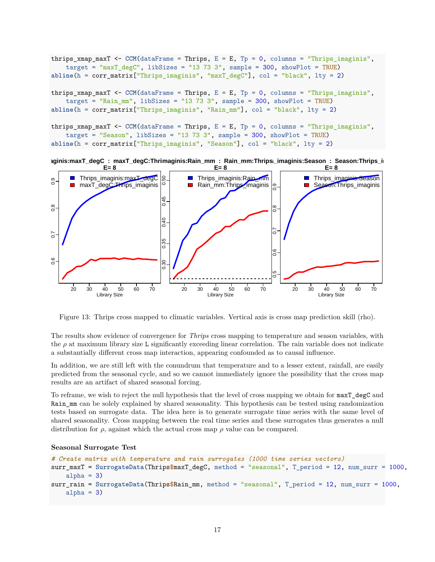```
thrips_xmap_maxT <- CCM(dataFrame = Thrips, E = E, Tp = 0, columns = "Thrips_imaginis",
    target = \text{maxT}\_\text{degC}", libSizes = "13 73 3", sample = 300, showPlot = TRUE)
abline(h = corr_matrix["Thrips_imaginis", "maxT_degC"], col = "black", lty = 2)
thrips_xmap_maxT <- CCM(dataFrame = Thrips, E = E, Tp = 0, columns = "Thrips\text{ imaging}",target = "Rain_mm", libSizes = "13 73 3", sample = 300, showPlot = TRUE)abline(h = corr_matrix["Thrips_imaginis", "Rain_mm"], col = "black", lty = 2)
thrips_xmap_maxT <- CCM(dataFrame = Thrips, E = E, Tp = 0, columns = "Thrips_imaginis",
    target = "Season", libSizes = "13 73 3", sample = 300, showPlot = TRUE)
abline(h = corr_matrix["Thrips_imaginis", "Season"], col = "black", lty = 2)
```




Figure 13: Thrips cross mapped to climatic variables. Vertical axis is cross map prediction skill (rho).

The results show evidence of convergence for *Thrips* cross mapping to temperature and season variables, with the *ρ* at maximum library size L significantly exceeding linear correlation. The rain variable does not indicate a substantially different cross map interaction, appearing confounded as to causal influence.

In addition, we are still left with the conundrum that temperature and to a lesser extent, rainfall, are easily predicted from the seasonal cycle, and so we cannot immediately ignore the possibility that the cross map results are an artifact of shared seasonal forcing.

To reframe, we wish to reject the null hypothesis that the level of cross mapping we obtain for maxT\_degC and Rain\_mm can be solely explained by shared seasonality. This hypothesis can be tested using randomization tests based on surrogate data. The idea here is to generate surrogate time series with the same level of shared seasonality. Cross mapping between the real time series and these surrogates thus generates a null distribution for  $\rho$ , against which the actual cross map  $\rho$  value can be compared.

#### **Seasonal Surrogate Test**

```
# Create matrix with temperature and rain surrogates (1000 time series vectors)
surr_maxT = SurrogateData(Thrips$maxT_degC, method = "seasonal", T_period = 12, num_surr = 1000,
    alpha = 3)
surr_rain = SurrogateData(Thrips$Rain_mm, method = "seasonal", T_period = 12, num_surr = 1000,
    alpha = 3)
```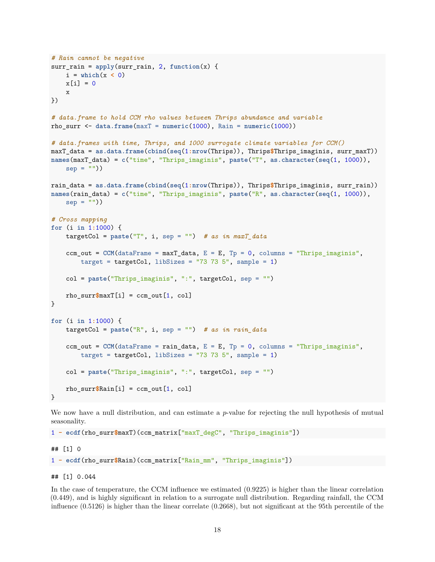```
# Rain cannot be negative
surr\_rain = apply(surr\_rain, 2, function(x) {
   i = \text{which}(x < 0)x[i] = 0x
})
# data.frame to hold CCM rho values between Thrips abundance and variable
rho surr \leq data.frame(\text{maxT} = \text{numeric}(1000)), Rain = \text{numeric}(1000))# data.frames with time, Thrips, and 1000 surrogate climate variables for CCM()
maxT_data = as.data.frame(cbind(seq(1:nrow(Thrips)), Thrips$Thrips_imaginis, surr_maxT))
names(maxT_data) = c("time", "Thrips_imaginis", paste("T", as.character(seq(1, 1000)),
    sep = "")rain_data = as.data.frame(cbind(seq(1:nrow(Thrips)), Thrips$Thrips_imaginis, surr_rain))
names(rain_data) = c("time", "Thrips_imaginis", paste("R", as.character(seq(1, 1000)),
   sep = "")# Cross mapping
for (i in 1:1000) {
   targetCol = paste("T", i, sep = "") # as in maxT_data
   ccm_out = CCM(dataFrame = maxT_data, E = E, TP = 0, columns = "Thrips_imaginis",target = targetCol, libSizes = "73 73 5", sample = 1)
   col = paste("Thrips_imaginis", ":", targetCol, sep = "")
   rho\_surr\maxT[i] = ccm_out[1, col]
}
for (i in 1:1000) {
   targetCol = paste("R", i, sep = "") # as in rain_data
    ccm_out = CCM(dataFrame = rain_data, E = E, Tp = 0, columns = "Thrips_imaginis",target = targetCol, libSizes = "73 73 5", sample = 1)
   col = paste("Thrips_imaginis", ":", targetCol, sep = "")
   rho_surr$Rain[i] = ccm_out[1, col]
}
```
We now have a null distribution, and can estimate a *p*-value for rejecting the null hypothesis of mutual seasonality.

1 **- ecdf**(rho\_surr**\$**maxT)(ccm\_matrix["maxT\_degC", "Thrips\_imaginis"])

## [1] 0

1 **- ecdf**(rho\_surr**\$**Rain)(ccm\_matrix["Rain\_mm", "Thrips\_imaginis"])

## [1] 0.044

In the case of temperature, the CCM influence we estimated (0.9225) is higher than the linear correlation (0.449), and is highly significant in relation to a surrogate null distribution. Regarding rainfall, the CCM influence (0.5126) is higher than the linear correlate (0.2668), but not significant at the 95th percentile of the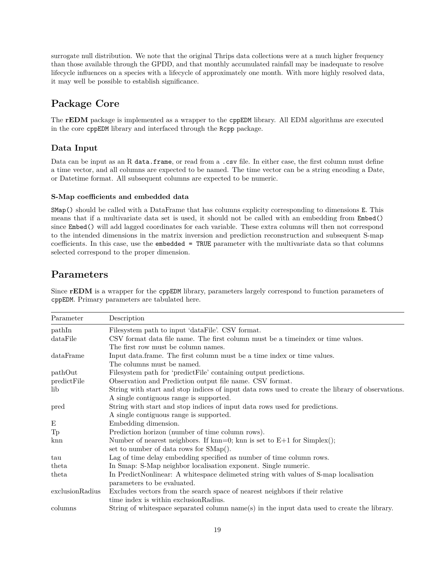surrogate null distribution. We note that the original Thrips data collections were at a much higher frequency than those available through the GPDD, and that monthly accumulated rainfall may be inadequate to resolve lifecycle influences on a species with a lifecycle of approximately one month. With more highly resolved data, it may well be possible to establish significance.

# **Package Core**

The **rEDM** package is implemented as a wrapper to the [cppEDM](#page-0-0) library. All EDM algorithms are executed in the core cppEDM library and interfaced through the [Rcpp](cran.r-project.org/web/packages/Rcpp/index.html) package.

## **Data Input**

Data can be input as an R data.frame, or read from a .csv file. In either case, the first column must define a time vector, and all columns are expected to be named. The time vector can be a string encoding a Date, or Datetime format. All subsequent columns are expected to be numeric.

## **S-Map coefficients and embedded data**

SMap() should be called with a DataFrame that has columns explicity corresponding to dimensions E. This means that if a multivariate data set is used, it should not be called with an embedding from Embed() since Embed() will add lagged coordinates for each variable. These extra columns will then not correspond to the intended dimensions in the matrix inversion and prediction reconstruction and subsequent S-map coefficients. In this case, use the embedded = TRUE parameter with the multivariate data so that columns selected correspond to the proper dimension.

## **Parameters**

| Parameter       | Description                                                                                                         |
|-----------------|---------------------------------------------------------------------------------------------------------------------|
| pathIn          | Filesystem path to input 'dataFile'. CSV format.                                                                    |
| dataFile        | CSV format data file name. The first column must be a time index or time values.                                    |
|                 | The first row must be column names.                                                                                 |
| dataFrame       | Input data frame. The first column must be a time index or time values.                                             |
|                 | The columns must be named.                                                                                          |
| pathOut         | Filesystem path for 'predict File' containing output predictions.                                                   |
| predictFile     | Observation and Prediction output file name. CSV format.                                                            |
| lib             | String with start and stop indices of input data rows used to create the library of observations.                   |
|                 | A single contiguous range is supported.                                                                             |
| pred            | String with start and stop indices of input data rows used for predictions.                                         |
|                 | A single contiguous range is supported.                                                                             |
| Ε               | Embedding dimension.                                                                                                |
| Tp              | Prediction horizon (number of time column rows).                                                                    |
| kmn             | Number of nearest neighbors. If $kmn=0$ ; knn is set to $E+1$ for $Simplex()$ ;                                     |
|                 | set to number of data rows for SMap().                                                                              |
| tau             | Lag of time delay embedding specified as number of time column rows.                                                |
| theta           | In Smap: S-Map neighbor localisation exponent. Single numeric.                                                      |
| theta           | In PredictNonlinear: A whitespace delimeted string with values of S-map localisation<br>parameters to be evaluated. |
| exclusionRadius | Excludes vectors from the search space of nearest neighbors if their relative                                       |
|                 | time index is within exclusion Radius.                                                                              |
| columns         | String of whitespace separated column name(s) in the input data used to create the library.                         |

Since **rEDM** is a wrapper for the [cppEDM](#page-0-0) library, parameters largely correspond to function parameters of [cppEDM](#page-0-0). Primary parameters are tabulated here.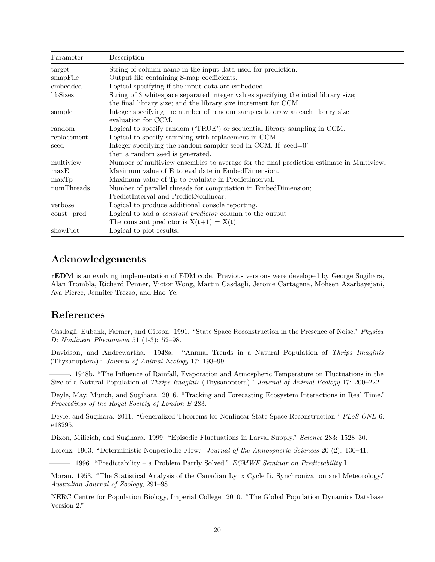| Parameter   | Description                                                                              |
|-------------|------------------------------------------------------------------------------------------|
| target      | String of column name in the input data used for prediction.                             |
| smapFile    | Output file containing S-map coefficients.                                               |
| embedded    | Logical specifying if the input data are embedded.                                       |
| libSizes    | String of 3 whitespace separated integer values specifying the inital library size;      |
|             | the final library size; and the library size increment for CCM.                          |
| sample      | Integer specifying the number of random samples to draw at each library size             |
|             | evaluation for CCM.                                                                      |
| random      | Logical to specify random ('TRUE') or sequential library sampling in CCM.                |
| replacement | Logical to specify sampling with replacement in CCM.                                     |
| seed        | Integer specifying the random sampler seed in CCM. If 'seed=0'                           |
|             | then a random seed is generated.                                                         |
| multiview   | Number of multiview ensembles to average for the final prediction estimate in Multiview. |
| maxE        | Maximum value of E to evalulate in EmbedDimension.                                       |
| maxTp       | Maximum value of Tp to evalulate in PredictInterval.                                     |
| numThreads  | Number of parallel threads for computation in EmbedDimension;                            |
|             | PredictInterval and PredictNonlinear.                                                    |
| verbose     | Logical to produce additional console reporting.                                         |
| const_pred  | Logical to add a <i>constant predictor</i> column to the output                          |
|             | The constant predictor is $X(t+1) = X(t)$ .                                              |
| showPlot    | Logical to plot results.                                                                 |

## **Acknowledgements**

**rEDM** is an evolving implementation of EDM code. Previous versions were developed by George Sugihara, Alan Trombla, Richard Penner, Victor Wong, Martin Casdagli, Jerome Cartagena, Mohsen Azarbayejani, Ava Pierce, Jennifer Trezzo, and Hao Ye.

## **References**

Casdagli, Eubank, Farmer, and Gibson. 1991. "State Space Reconstruction in the Presence of Noise." *Physica D: Nonlinear Phenomena* 51 (1-3): 52–98.

Davidson, and Andrewartha. 1948a. "Annual Trends in a Natural Population of *Thrips Imaginis* (Thysanoptera)." *Journal of Animal Ecology* 17: 193–99.

———. 1948b. "The Influence of Rainfall, Evaporation and Atmospheric Temperature on Fluctuations in the Size of a Natural Population of *Thrips Imaginis* (Thysanoptera)." *Journal of Animal Ecology* 17: 200–222.

Deyle, May, Munch, and Sugihara. 2016. "Tracking and Forecasting Ecosystem Interactions in Real Time." *Proceedings of the Royal Society of London B* 283.

Deyle, and Sugihara. 2011. "Generalized Theorems for Nonlinear State Space Reconstruction." *PLoS ONE* 6: e18295.

Dixon, Milicich, and Sugihara. 1999. "Episodic Fluctuations in Larval Supply." *Science* 283: 1528–30.

Lorenz. 1963. "Deterministic Nonperiodic Flow." *Journal of the Atmospheric Sciences* 20 (2): 130–41.

———. 1996. "Predictability – a Problem Partly Solved." *ECMWF Seminar on Predictability* I.

Moran. 1953. "The Statistical Analysis of the Canadian Lynx Cycle Ii. Synchronization and Meteorology." *Australian Journal of Zoology*, 291–98.

NERC Centre for Population Biology, Imperial College. 2010. "The Global Population Dynamics Database Version 2."